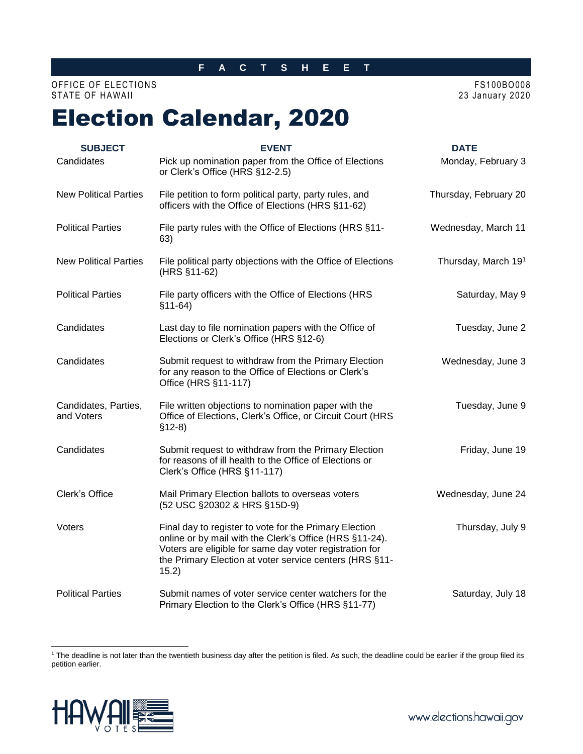### **F A C T S H E E T**

## OFFICE OF ELECTIONS FS100BO008 STATE OF HAWAII 2020

# Election Calendar, 2020

| <b>SUBJECT</b>                     | <b>EVENT</b>                                                                                                                                                                                                                                     | <b>DATE</b>           |
|------------------------------------|--------------------------------------------------------------------------------------------------------------------------------------------------------------------------------------------------------------------------------------------------|-----------------------|
| Candidates                         | Pick up nomination paper from the Office of Elections<br>or Clerk's Office (HRS §12-2.5)                                                                                                                                                         | Monday, February 3    |
| <b>New Political Parties</b>       | File petition to form political party, party rules, and<br>officers with the Office of Elections (HRS §11-62)                                                                                                                                    | Thursday, February 20 |
| <b>Political Parties</b>           | File party rules with the Office of Elections (HRS §11-<br>63)                                                                                                                                                                                   | Wednesday, March 11   |
| <b>New Political Parties</b>       | File political party objections with the Office of Elections<br>(HRS §11-62)                                                                                                                                                                     | Thursday, March 191   |
| <b>Political Parties</b>           | File party officers with the Office of Elections (HRS<br>$$11-64)$                                                                                                                                                                               | Saturday, May 9       |
| Candidates                         | Last day to file nomination papers with the Office of<br>Elections or Clerk's Office (HRS §12-6)                                                                                                                                                 | Tuesday, June 2       |
| Candidates                         | Submit request to withdraw from the Primary Election<br>for any reason to the Office of Elections or Clerk's<br>Office (HRS §11-117)                                                                                                             | Wednesday, June 3     |
| Candidates, Parties,<br>and Voters | File written objections to nomination paper with the<br>Office of Elections, Clerk's Office, or Circuit Court (HRS<br>$$12-8)$                                                                                                                   | Tuesday, June 9       |
| Candidates                         | Submit request to withdraw from the Primary Election<br>for reasons of ill health to the Office of Elections or<br>Clerk's Office (HRS §11-117)                                                                                                  | Friday, June 19       |
| Clerk's Office                     | Mail Primary Election ballots to overseas voters<br>(52 USC §20302 & HRS §15D-9)                                                                                                                                                                 | Wednesday, June 24    |
| Voters                             | Final day to register to vote for the Primary Election<br>online or by mail with the Clerk's Office (HRS §11-24).<br>Voters are eligible for same day voter registration for<br>the Primary Election at voter service centers (HRS §11-<br>15.2) | Thursday, July 9      |
| <b>Political Parties</b>           | Submit names of voter service center watchers for the<br>Primary Election to the Clerk's Office (HRS §11-77)                                                                                                                                     | Saturday, July 18     |

<sup>&</sup>lt;sup>1</sup> The deadline is not later than the twentieth business day after the petition is filed. As such, the deadline could be earlier if the group filed its petition earlier.



l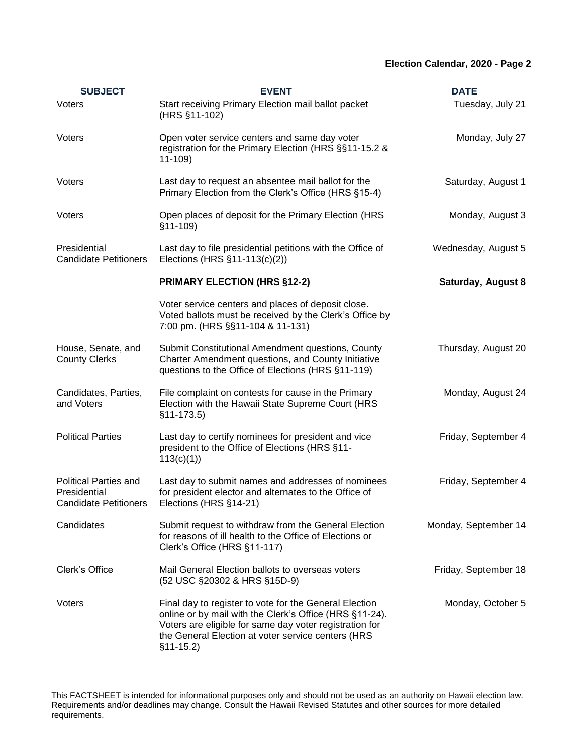# **Election Calendar, 2020 - Page 2**

| <b>SUBJECT</b>                                                               | <b>EVENT</b>                                                                                                                                                                                                                                      | <b>DATE</b>               |
|------------------------------------------------------------------------------|---------------------------------------------------------------------------------------------------------------------------------------------------------------------------------------------------------------------------------------------------|---------------------------|
| Voters                                                                       | Start receiving Primary Election mail ballot packet<br>(HRS §11-102)                                                                                                                                                                              | Tuesday, July 21          |
| Voters                                                                       | Open voter service centers and same day voter<br>registration for the Primary Election (HRS §§11-15.2 &<br>$11-109$                                                                                                                               | Monday, July 27           |
| Voters                                                                       | Last day to request an absentee mail ballot for the<br>Primary Election from the Clerk's Office (HRS §15-4)                                                                                                                                       | Saturday, August 1        |
| Voters                                                                       | Open places of deposit for the Primary Election (HRS<br>$§11-109$                                                                                                                                                                                 | Monday, August 3          |
| Presidential<br><b>Candidate Petitioners</b>                                 | Last day to file presidential petitions with the Office of<br>Elections (HRS §11-113(c)(2))                                                                                                                                                       | Wednesday, August 5       |
|                                                                              | <b>PRIMARY ELECTION (HRS §12-2)</b>                                                                                                                                                                                                               | <b>Saturday, August 8</b> |
|                                                                              | Voter service centers and places of deposit close.<br>Voted ballots must be received by the Clerk's Office by<br>7:00 pm. (HRS §§11-104 & 11-131)                                                                                                 |                           |
| House, Senate, and<br><b>County Clerks</b>                                   | Submit Constitutional Amendment questions, County<br>Charter Amendment questions, and County Initiative<br>questions to the Office of Elections (HRS §11-119)                                                                                     | Thursday, August 20       |
| Candidates, Parties,<br>and Voters                                           | File complaint on contests for cause in the Primary<br>Election with the Hawaii State Supreme Court (HRS<br>$§11-173.5)$                                                                                                                          | Monday, August 24         |
| <b>Political Parties</b>                                                     | Last day to certify nominees for president and vice<br>president to the Office of Elections (HRS §11-<br>113(c)(1)                                                                                                                                | Friday, September 4       |
| <b>Political Parties and</b><br>Presidential<br><b>Candidate Petitioners</b> | Last day to submit names and addresses of nominees<br>for president elector and alternates to the Office of<br>Elections (HRS §14-21)                                                                                                             | Friday, September 4       |
| Candidates                                                                   | Submit request to withdraw from the General Election<br>for reasons of ill health to the Office of Elections or<br>Clerk's Office (HRS §11-117)                                                                                                   | Monday, September 14      |
| Clerk's Office                                                               | Mail General Election ballots to overseas voters<br>(52 USC §20302 & HRS §15D-9)                                                                                                                                                                  | Friday, September 18      |
| Voters                                                                       | Final day to register to vote for the General Election<br>online or by mail with the Clerk's Office (HRS §11-24).<br>Voters are eligible for same day voter registration for<br>the General Election at voter service centers (HRS<br>$$11-15.2)$ | Monday, October 5         |

This FACTSHEET is intended for informational purposes only and should not be used as an authority on Hawaii election law. Requirements and/or deadlines may change. Consult the Hawaii Revised Statutes and other sources for more detailed requirements.